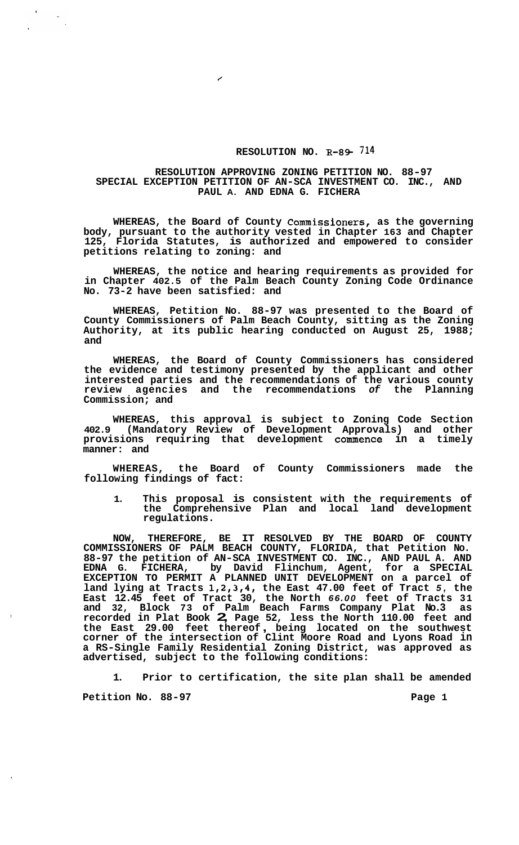## **RESOLUTION NO. R-89. 714**

## **RESOLUTION APPROVING ZONING PETITION NO. 88-97 SPECIAL EXCEPTION PETITION OF AN-SCA INVESTMENT CO. INC., AND PAUL A. AND EDNA G. FICHERA**

**WHEREAS, the Board of County Commissioners, as the governing body, pursuant to the authority vested in Chapter 163 and Chapter 125, Florida Statutes, is authorized and empowered to consider petitions relating to zoning: and** 

**WHEREAS, the notice and hearing requirements as provided for in Chapter 402.5 of the Palm Beach County Zoning Code Ordinance No. 73-2 have been satisfied: and** 

**WHEREAS, Petition No. 88-97 was presented to the Board of County Commissioners of Palm Beach County, sitting as the Zoning Authority, at its public hearing conducted on August 25, 1988; and** 

**WHEREAS, the Board of County Commissioners has considered the evidence and testimony presented by the applicant and other interested parties and the recommendations of the various county review agencies and the recommendations** *of* **the Planning Commission; and** 

**WHEREAS, this approval is subject to Zoning Code Section 402.9 (Mandatory Review of Development Approvals) and other provisions requiring that development commence in a timely manner: and** 

**WHEREAS, the Board of County Commissioners made the following findings of fact:** 

**1. This proposal is consistent with the requirements of the Comprehensive Plan and local land development regulations.** 

**NOW, THEREFORE, BE IT RESOLVED BY THE BOARD OF COUNTY COMMISSIONERS OF PALM BEACH COUNTY, FLORIDA, that Petition No. 88-97 the petition of AN-SCA INVESTMENT CO. INC., AND PAUL A. AND EDNA G. FICHERA, by David Flinchum, Agent, for a SPECIAL EXCEPTION TO PERMIT A PLANNED UNIT DEVELOPMENT on a parcel of land lying at Tracts 1,2,3,4, the East 47.00 feet of Tract** *5,* **the East 12.45 feet of Tract 30, the North** *66.00* **feet of Tracts 31 and 32, Block 73 of Palm Beach Farms Company Plat No.3 as recorded in Plat Book 2, Page 52, less the North 110.00 feet and the East 29.00 feet thereof** , **being located on the southwest corner of the intersection of Clint Moore Road and Lyons Road in a RS-Single Family Residential Zoning District, was approved as advertised, subject to the following conditions:** 

**1. Prior to certification, the site plan shall be amended**  Petition No. 88-97 **Page 1 Page 1**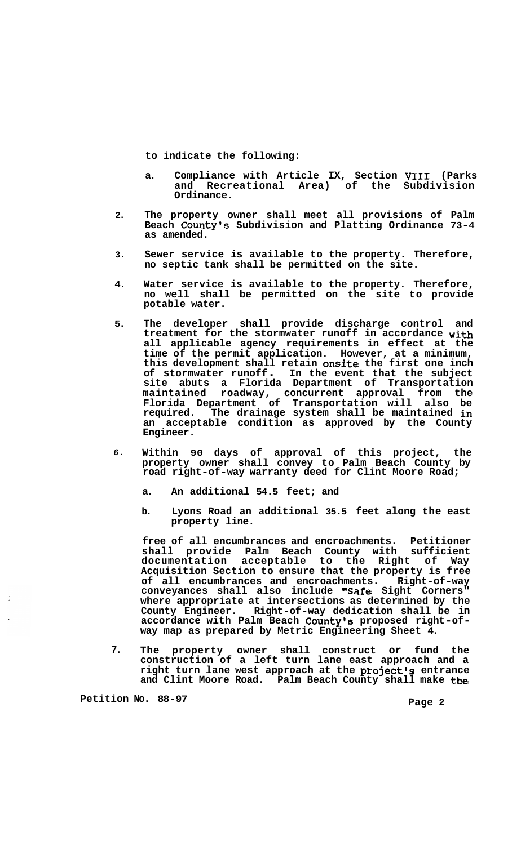**to indicate the following:** 

- **a. Compliance with Article IX, Section VI11 (Parks and Recreational Area) of the Subdivision Ordinance.**
- **The property owner shall meet all provisions of Palm Beach Countyls Subdivision and Platting Ordinance 73-4 as amended. 2.**
- **Sewer service is available to the property. Therefore, no septic tank shall be permitted on the site. 3.**
- **Water service is available to the property. Therefore, no well shall be permitted on the site to provide potable water. 4.**
- **The developer shall provide discharge control and treatment for the stormwater runoff in accordance with all applicable agency requirements in effect at the time of the permit application. However, at a minimum, this development shall retain onsite the first one inch of stormwater runoff** . **In the event that the subject site abuts a Florida Department of Transportation maintained roadway, concurrent approval from the Florida Department of Transportation will also be required. The drainage system shall be maintained in an acceptable condition as approved by the County Engineer. 5.**
- **Within 90 days of approval of this project, the property owner shall convey to Palm Beach County by road right-of-way warranty deed for Clint Moore Road;**  *6.* 
	- **a. An additional 54.5 feet; and**
	- **b. Lyons Road an additional 35.5 feet along the east property line.**

**free of all encumbrances and encroachments. Petitioner shall provide Palm Beach County with sufficient documentation acceptable to the Right of Way Acquisition Section to ensure that the property is free of all encumbrances and encroachments. Right-of-way conveyances shall also include '@Safe Sight Corners" where appropriate at intersections as determined by the County Engineer. Right-of-way dedication shall be in**  accordance with Palm Beach County's proposed right-of-<br>way map as prepared by Metric Engineering Sheet 4.

**7. The property owner shall construct or fund the construction of a left turn lane east approach and a right turn lane west approach at the project's entrance and Clint Moore Road. Palm Beach County shall make the** 

Petition No. 88-97 **Page 2 Page 2**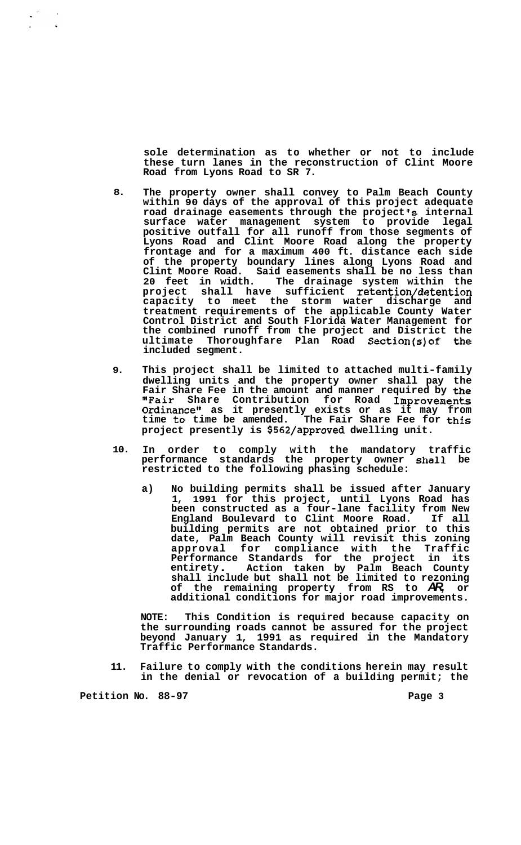**sole determination as to whether or not to include these turn lanes in the reconstruction of Clint Moore Road from Lyons Road to SR 7.** 

- **8. The property owner shall convey to Palm Beach County within 90 days of the approval of this project adequate**  road drainage easements through the project's internal **surface water management system to provide legal positive outfall for all runoff from those segments of Lyons Road and Clint Moore Road along the property frontage and for a maximum 400 ft. distance each side of the property boundary lines along Lyons Road and Clint Moore Road. Said easements shall be no less than 20 feet in width. The drainage system within the project shall have sufficient retention/detention capacity to meet the storm water discharge and treatment requirements of the applicable County Water Control District and South Florida Water Management for the combined runoff from the project and District the ultimate Thoroughfare Plan Road Section(s)of the included segment.**
- **9. This project shall be limited to attached multi-family dwelling units and the property owner shall pay the Fair Share Fee in the amount and manner required by the "Fair Share Contribution for Road Improvements Ordinancell as it presently exists or as it may from time to time be amended. The Fair Share Fee for this project presently is \$562/approved dwelling unit.**
- **10. In order to comply with the mandatory traffic performance standards the property owner shall be restricted to the following phasing schedule:** 
	- **a) No building permits shall be issued after January 1, 1991 for this project, until Lyons Road has been constructed as a four-lane facility from New England Boulevard to Clint Moore Road. If all building permits are not obtained prior to this date, Palm Beach County will revisit this zoning approval for compliance with the Traffic Performance Standards for the project in its entirety** . **Action taken by Palm Beach County shall include but shall not be limited to rezoning of the remaining property from RS to** *AR,* **or additional conditions for major road improvements.**

**NOTE: This Condition is required because capacity on the surrounding roads cannot be assured for the project beyond January 1, 1991 as required in the Mandatory Traffic Performance Standards.** 

**11. Failure to comply with the conditions herein may result in the denial or revocation of a building permit; the** 

Petition No. 88-97 **Page 3 Page 3** 

 $\sim$